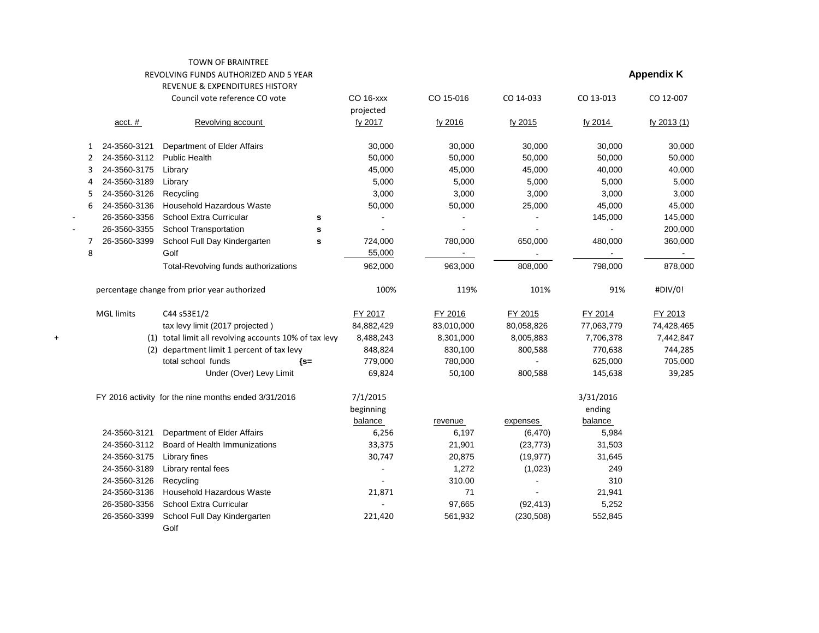## TOWN OF BRAINTREE REVOLVING FUNDS AUTHORIZED AND 5 YEAR **Appendix K** REVENUE & EXPENDITURES HISTORY

|   |                   | Council vote reference CO vote                         |        | <b>CO 16-xxx</b><br>projected | CO 15-016  | CO 14-033  | CO 13-013  | CO 12-007   |
|---|-------------------|--------------------------------------------------------|--------|-------------------------------|------------|------------|------------|-------------|
|   | $acct.$ #         | Revolving account                                      |        | fy 2017                       | fy 2016    | fy 2015    | fy 2014    | fy 2013 (1) |
|   | 24-3560-3121      | Department of Elder Affairs                            |        | 30,000                        | 30,000     | 30,000     | 30,000     | 30,000      |
|   | 24-3560-3112      | <b>Public Health</b>                                   |        | 50,000                        | 50,000     | 50,000     | 50,000     | 50,000      |
| 3 | 24-3560-3175      | Library                                                |        | 45,000                        | 45,000     | 45,000     | 40,000     | 40,000      |
| 4 | 24-3560-3189      | Library                                                |        | 5,000                         | 5,000      | 5,000      | 5,000      | 5,000       |
| 5 | 24-3560-3126      | Recycling                                              |        | 3,000                         | 3,000      | 3,000      | 3,000      | 3,000       |
| 6 | 24-3560-3136      | Household Hazardous Waste                              |        | 50,000                        | 50,000     | 25,000     | 45,000     | 45,000      |
|   | 26-3560-3356      | School Extra Curricular                                | s      |                               |            |            | 145,000    | 145,000     |
|   | 26-3560-3355      | <b>School Transportation</b>                           | s      |                               |            |            |            | 200,000     |
| 7 | 26-3560-3399      | School Full Day Kindergarten                           | S      | 724,000                       | 780,000    | 650,000    | 480,000    | 360,000     |
| 8 |                   | Golf                                                   |        | 55,000                        |            |            |            |             |
|   |                   | Total-Revolving funds authorizations                   |        | 962,000                       | 963,000    | 808,000    | 798,000    | 878,000     |
|   |                   | percentage change from prior year authorized           |        | 100%                          | 119%       | 101%       | 91%        | #DIV/0!     |
|   | <b>MGL limits</b> | C44 s53E1/2                                            |        | FY 2017                       | FY 2016    | FY 2015    | FY 2014    | FY 2013     |
|   |                   | tax levy limit (2017 projected)                        |        | 84,882,429                    | 83,010,000 | 80,058,826 | 77,063,779 | 74,428,465  |
|   |                   | (1) total limit all revolving accounts 10% of tax levy |        | 8,488,243                     | 8,301,000  | 8,005,883  | 7,706,378  | 7,442,847   |
|   | (2)               | department limit 1 percent of tax levy                 |        | 848,824                       | 830,100    | 800,588    | 770,638    | 744,285     |
|   |                   | total school funds                                     | $\{s=$ | 779,000                       | 780,000    |            | 625,000    | 705,000     |
|   |                   | Under (Over) Levy Limit                                |        | 69,824                        | 50,100     | 800,588    | 145,638    | 39,285      |
|   |                   | FY 2016 activity for the nine months ended 3/31/2016   |        | 7/1/2015                      |            |            | 3/31/2016  |             |
|   |                   |                                                        |        | beginning                     |            |            | ending     |             |
|   |                   |                                                        |        | balance                       | revenue    | expenses   | balance    |             |
|   | 24-3560-3121      | Department of Elder Affairs                            |        | 6,256                         | 6,197      | (6, 470)   | 5,984      |             |
|   | 24-3560-3112      | Board of Health Immunizations                          |        | 33,375                        | 21,901     | (23, 773)  | 31,503     |             |
|   | 24-3560-3175      | Library fines                                          |        | 30,747                        | 20,875     | (19, 977)  | 31,645     |             |
|   | 24-3560-3189      | Library rental fees                                    |        |                               | 1,272      | (1,023)    | 249        |             |
|   | 24-3560-3126      | Recycling                                              |        |                               | 310.00     |            | 310        |             |
|   | 24-3560-3136      | Household Hazardous Waste                              |        | 21,871                        | 71         |            | 21,941     |             |
|   | 26-3580-3356      | School Extra Curricular                                |        |                               | 97,665     | (92, 413)  | 5,252      |             |
|   | 26-3560-3399      | School Full Day Kindergarten<br>Golf                   |        | 221,420                       | 561,932    | (230, 508) | 552,845    |             |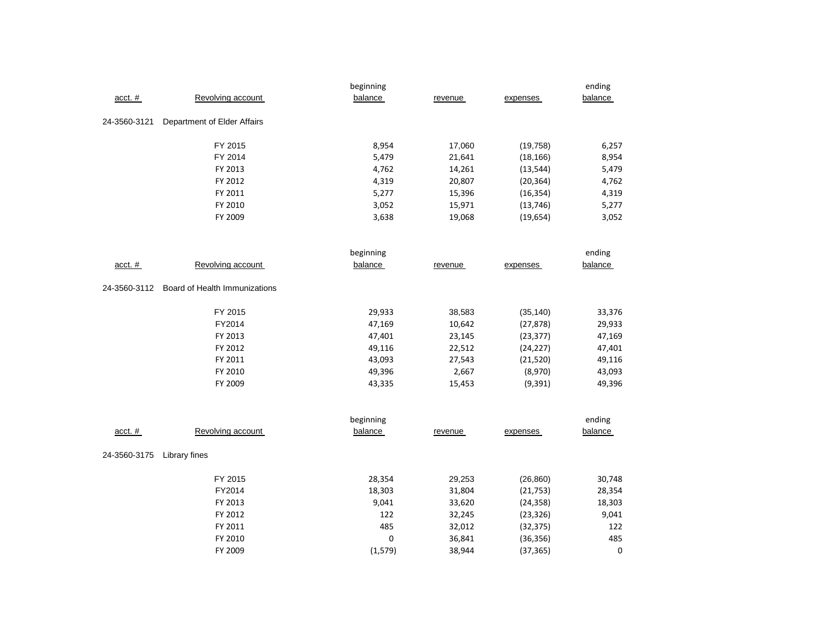|              |                               | beginning |         |           | ending         |
|--------------|-------------------------------|-----------|---------|-----------|----------------|
| $acct.$ #    | Revolving account             | balance   | revenue | expenses  | balance        |
| 24-3560-3121 | Department of Elder Affairs   |           |         |           |                |
|              | FY 2015                       | 8,954     | 17,060  | (19, 758) | 6,257          |
|              | FY 2014                       | 5,479     | 21,641  | (18, 166) | 8,954          |
|              | FY 2013                       | 4,762     | 14,261  | (13, 544) | 5,479          |
|              | FY 2012                       | 4,319     | 20,807  | (20, 364) | 4,762          |
|              | FY 2011                       | 5,277     | 15,396  | (16, 354) | 4,319          |
|              | FY 2010                       | 3,052     | 15,971  | (13, 746) | 5,277          |
|              | FY 2009                       | 3,638     | 19,068  | (19, 654) | 3,052          |
|              |                               | beginning |         |           | ending         |
| $acct.$ #    | Revolving account             | balance   | revenue | expenses  | balance        |
| 24-3560-3112 | Board of Health Immunizations |           |         |           |                |
|              | FY 2015                       | 29,933    | 38,583  | (35, 140) | 33,376         |
|              | FY2014                        | 47,169    | 10,642  | (27, 878) | 29,933         |
|              | FY 2013                       | 47,401    | 23,145  | (23, 377) | 47,169         |
|              | FY 2012                       | 49,116    | 22,512  | (24, 227) | 47,401         |
|              | FY 2011                       | 43,093    | 27,543  | (21, 520) | 49,116         |
|              | FY 2010                       | 49,396    | 2,667   | (8,970)   | 43,093         |
|              | FY 2009                       | 43,335    | 15,453  | (9, 391)  | 49,396         |
|              |                               | beginning |         |           | ending         |
| $acct.$ #    | Revolving account             | balance   | revenue | expenses  | <b>balance</b> |
| 24-3560-3175 | Library fines                 |           |         |           |                |
|              | FY 2015                       | 28,354    | 29,253  | (26, 860) | 30,748         |
|              | FY2014                        | 18,303    | 31,804  | (21, 753) | 28,354         |
|              | FY 2013                       | 9,041     | 33,620  | (24, 358) | 18,303         |
|              | FY 2012                       | 122       | 32,245  | (23, 326) | 9,041          |
|              | FY 2011                       | 485       | 32,012  | (32, 375) | 122            |
|              | FY 2010                       | 0         | 36,841  | (36, 356) | 485            |
|              | FY 2009                       | (1, 579)  | 38,944  | (37, 365) | 0              |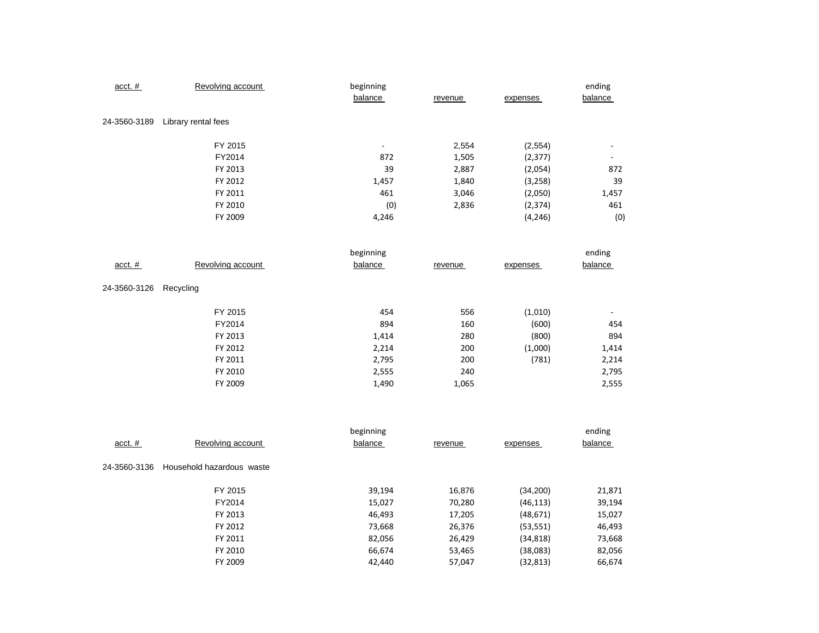| acct. #      | Revolving account   | beginning<br>balance     | revenue | expenses | ending<br>balance        |
|--------------|---------------------|--------------------------|---------|----------|--------------------------|
| 24-3560-3189 | Library rental fees |                          |         |          |                          |
|              | FY 2015             | $\overline{\phantom{a}}$ | 2,554   | (2, 554) |                          |
|              | FY2014              | 872                      | 1,505   | (2, 377) | $\overline{\phantom{a}}$ |
|              | FY 2013             | 39                       | 2,887   | (2,054)  | 872                      |
|              | FY 2012             | 1,457                    | 1,840   | (3, 258) | 39                       |
|              | FY 2011             | 461                      | 3,046   | (2,050)  | 1,457                    |
|              | FY 2010             | (0)                      | 2,836   | (2, 374) | 461                      |
|              | FY 2009             | 4,246                    |         | (4, 246) | (0)                      |
|              |                     | beginning                |         |          | ending                   |
| $acct.$ #    | Revolving account   | balance                  | revenue | expenses | balance                  |
| 24-3560-3126 | Recycling           |                          |         |          |                          |
|              | FY 2015             | 454                      | 556     | (1,010)  |                          |
|              | FY2014              | 894                      | 160     | (600)    | 454                      |
|              | FY 2013             | 1,414                    | 280     | (800)    | 894                      |
|              | FY 2012             | 2,214                    | 200     | (1,000)  | 1,414                    |
|              | FY 2011             | 2,795                    | 200     | (781)    | 2,214                    |
|              | FY 2010             | 2,555                    | 240     |          | 2,795                    |
|              | FY 2009             | 1,490                    | 1,065   |          | 2,555                    |

|              |                           | beginning |         |           | ending  |
|--------------|---------------------------|-----------|---------|-----------|---------|
| $acct.$ #    | Revolving account         | balance   | revenue | expenses  | balance |
| 24-3560-3136 | Household hazardous waste |           |         |           |         |
|              | FY 2015                   | 39,194    | 16,876  | (34,200)  | 21,871  |
|              | FY2014                    | 15,027    | 70,280  | (46, 113) | 39,194  |
|              | FY 2013                   | 46,493    | 17,205  | (48, 671) | 15,027  |
|              | FY 2012                   | 73,668    | 26,376  | (53, 551) | 46,493  |
|              | FY 2011                   | 82,056    | 26,429  | (34, 818) | 73,668  |
|              | FY 2010                   | 66,674    | 53,465  | (38,083)  | 82,056  |
|              | FY 2009                   | 42,440    | 57,047  | (32, 813) | 66,674  |
|              |                           |           |         |           |         |